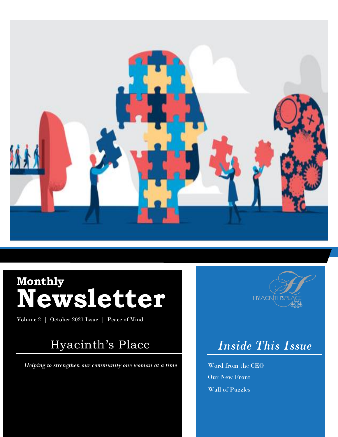

# **Monthly Newsletter**

Volume 2 | October 2021 Issue | Peace of Mind

## Hyacinth's Place

*Helping to strengthen our community one woman at a time*

0.



# *Inside This Issue*

Word from the CEO Our New Front Wall of Puzzles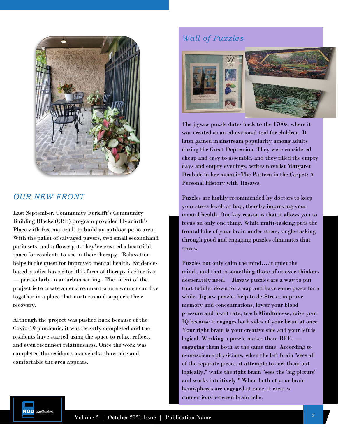

### *OUR NEW FRONT*

Last September, Community Forklift's Community Building Blocks (CBB) program provided Hyacinth's Place with free materials to build an outdoor patio area. With the pallet of salvaged pavers, two small secondhand patio sets, and a flowerpot, they've created a beautiful space for residents to use in their therapy. Relaxation helps in the quest for improved mental health. Evidencebased studies have cited this form of therapy is effective — particularly in an urban setting. The intent of the project is to create an environment where women can live together in a place that nurtures and supports their recovery.

Although the project was pushed back because of the Covid-19 pandemic, it was recently completed and the residents have started using the space to relax, reflect, and even reconnect relationships. Once the work was completed the residents marveled at how nice and comfortable the area appears.

### *Wall of Puzzles*



The jigsaw puzzle dates back to the 1700s, where it was created as an educational tool for children. It later gained mainstream popularity among adults during the Great Depression. They were considered cheap and easy to assemble, and they filled the empty days and empty evenings, writes novelist Margaret Drabble in her memoir The Pattern in the Carpet: A Personal History with Jigsaws.

Puzzles are highly recommended by doctors to keep your stress levels at bay, thereby improving your mental health. One key reason is that it allows you to focus on only one thing. While multi-tasking puts the frontal lobe of your brain under stress, single-tasking through good and engaging puzzles eliminates that stress.

Puzzles not only calm the mind….it quiet the mind...and that is something those of us over-thinkers desperately need. Jigsaw puzzles are a way to put that toddler down for a nap and have some peace for a while. Jigsaw puzzles help to de-Stress, improve memory and concentrations, lower your blood pressure and heart rate, teach Mindfulness, raise your IQ because it engages both sides of your brain at once. Your right brain is your creative side and your left is logical. Working a puzzle makes them BFFs engaging them both at the same time. According to neuroscience physicians, when the left brain "sees all of the separate pieces, it attempts to sort them out logically," while the right brain "sees the 'big picture' and works intuitively." When both of your brain hemispheres are engaged at once, it creates connections between brain cells.